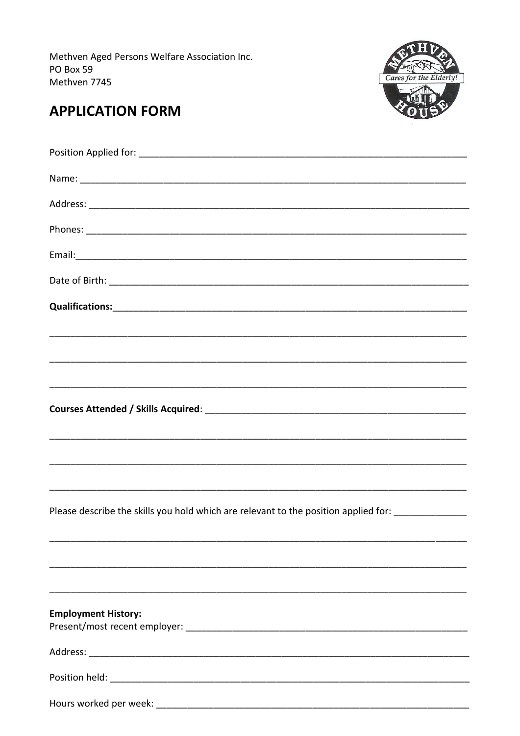Methven Aged Persons Welfare Association Inc. PO Box 59 Methven 7745



## **APPLICATION FORM**

| Please describe the skills you hold which are relevant to the position applied for: _______________ |
|-----------------------------------------------------------------------------------------------------|
|                                                                                                     |
|                                                                                                     |
|                                                                                                     |
| <b>Employment History:</b>                                                                          |
|                                                                                                     |
|                                                                                                     |
|                                                                                                     |
|                                                                                                     |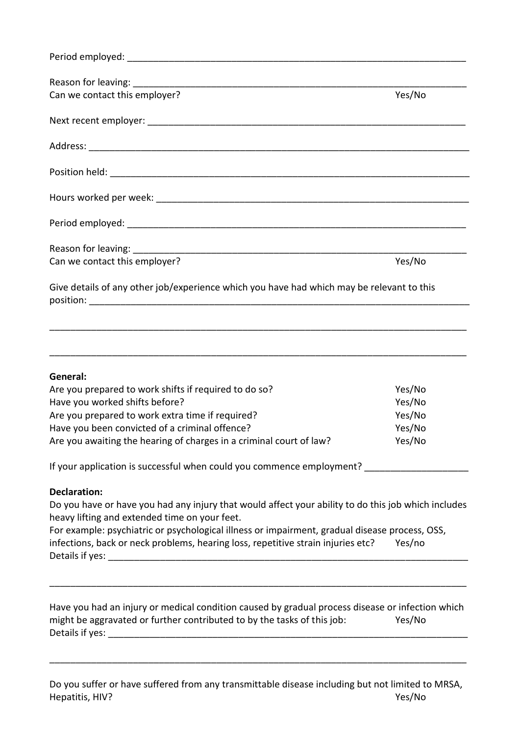| Can we contact this employer?                                                                                                                                                                                                                                                 | Yes/No           |
|-------------------------------------------------------------------------------------------------------------------------------------------------------------------------------------------------------------------------------------------------------------------------------|------------------|
|                                                                                                                                                                                                                                                                               |                  |
|                                                                                                                                                                                                                                                                               |                  |
|                                                                                                                                                                                                                                                                               |                  |
|                                                                                                                                                                                                                                                                               |                  |
|                                                                                                                                                                                                                                                                               |                  |
|                                                                                                                                                                                                                                                                               |                  |
| Can we contact this employer?                                                                                                                                                                                                                                                 | Yes/No           |
| Give details of any other job/experience which you have had which may be relevant to this                                                                                                                                                                                     |                  |
|                                                                                                                                                                                                                                                                               |                  |
| General:                                                                                                                                                                                                                                                                      |                  |
| Are you prepared to work shifts if required to do so?                                                                                                                                                                                                                         | Yes/No           |
|                                                                                                                                                                                                                                                                               | Yes/No           |
| Have you worked shifts before?<br>Are you prepared to work extra time if required?                                                                                                                                                                                            | Yes/No           |
| Have you been convicted of a criminal offence?<br>Are you awaiting the hearing of charges in a criminal court of law?                                                                                                                                                         | Yes/No<br>Yes/No |
| If your application is successful when could you commence employment? ______________________________                                                                                                                                                                          |                  |
|                                                                                                                                                                                                                                                                               |                  |
| <b>Declaration:</b><br>Do you have or have you had any injury that would affect your ability to do this job which includes<br>heavy lifting and extended time on your feet.<br>For example: psychiatric or psychological illness or impairment, gradual disease process, OSS, |                  |

Have you had an injury or medical condition caused by gradual process disease or infection which might be aggravated or further contributed to by the tasks of this job: Yes/No Details if yes: \_\_\_\_\_\_\_\_\_\_\_\_\_\_\_\_\_\_\_\_\_\_\_\_\_\_\_\_\_\_\_\_\_\_\_\_\_\_\_\_\_\_\_\_\_\_\_\_\_\_\_\_\_\_\_\_\_\_\_\_\_\_\_\_\_\_\_\_\_

\_\_\_\_\_\_\_\_\_\_\_\_\_\_\_\_\_\_\_\_\_\_\_\_\_\_\_\_\_\_\_\_\_\_\_\_\_\_\_\_\_\_\_\_\_\_\_\_\_\_\_\_\_\_\_\_\_\_\_\_\_\_\_\_\_\_\_\_\_\_\_\_\_\_\_\_\_\_\_\_